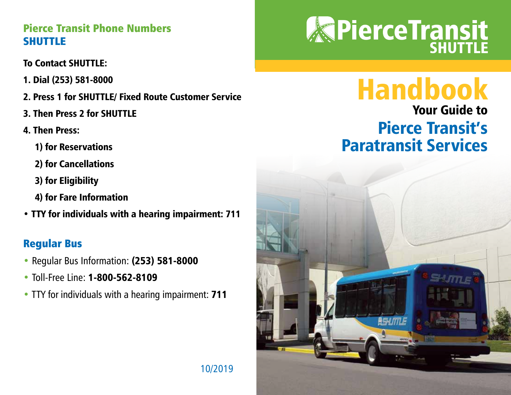#### Pierce Transit Phone Numbers SHUTTLE

#### To Contact SHUTTLE:

- 1. Dial (253) 581-8000
- 2. Press 1 for SHUTTLE/ Fixed Route Customer Service
- 3. Then Press 2 for SHUTTLE
- 4. Then Press:
	- 1) for Reservations
	- 2) for Cancellations
	- 3) for Eligibility
	- 4) for Fare Information
- TTY for individuals with a hearing impairment: 711

## Regular Bus

- Regular Bus Information: (253) 581-8000
- Toll-Free Line: **1-800-562-8109**
- TTY for individuals with a hearing impairment: 711

# **REPIERCE Transit**

# Handbook

# Your Guide to Pierce Transit's Paratransit Services



10/2019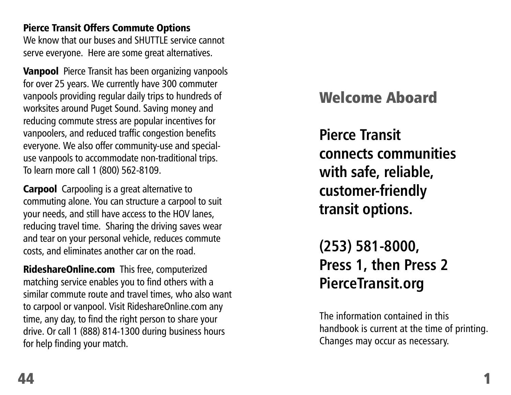#### Pierce Transit Offers Commute Options

We know that our buses and SHUTTLE service cannot serve everyone. Here are some great alternatives.

**Vanpool** Pierce Transit has been organizing vanpools for over 25 years. We currently have 300 commuter vanpools providing regular daily trips to hundreds of worksites around Puget Sound. Saving money and reducing commute stress are popular incentives for vanpoolers, and reduced traffic congestion benefits everyone. We also offer community-use and specialuse vanpools to accommodate non-traditional trips. To learn more call 1 (800) 562-8109.

**Carpool** Carpooling is a great alternative to commuting alone. You can structure a carpool to suit your needs, and still have access to the HOV lanes, reducing travel time. Sharing the driving saves wear and tear on your personal vehicle, reduces commute costs, and eliminates another car on the road.

RideshareOnline.com This free, computerized matching service enables you to find others with a similar commute route and travel times, who also want to carpool or vanpool. Visit RideshareOnline.com any time, any day, to find the right person to share your drive. Or call 1 (888) 814-1300 during business hours for help finding your match.

# Welcome Aboard

**Pierce Transit connects communities with safe, reliable, customer-friendly transit options.**

**(253) 581-8000, Press 1, then Press 2 PierceTransit.org**

The information contained in this handbook is current at the time of printing. Changes may occur as necessary.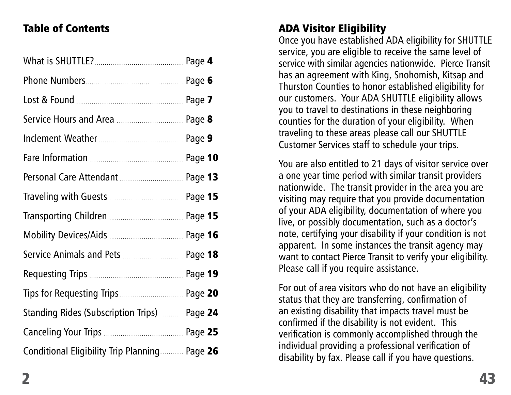#### Table of Contents

| Service Animals and Pets  Page 18             |  |
|-----------------------------------------------|--|
|                                               |  |
| Tips for Requesting Trips Page 20             |  |
| Standing Rides (Subscription Trips)  Page 24  |  |
|                                               |  |
| Conditional Eligibility Trip Planning Page 26 |  |

# ADA Visitor Eligibility

Once you have established ADA eligibility for SHUTTLE service, you are eligible to receive the same level of service with similar agencies nationwide. Pierce Transit has an agreement with King, Snohomish, Kitsap and Thurston Counties to honor established eligibility for our customers. Your ADA SHUTTLE eligibility allows you to travel to destinations in these neighboring counties for the duration of your eligibility. When traveling to these areas please call our SHUTTLE Customer Services staff to schedule your trips.

You are also entitled to 21 days of visitor service over a one year time period with similar transit providers nationwide. The transit provider in the area you are visiting may require that you provide documentation of your ADA eligibility, documentation of where you live, or possibly documentation, such as a doctor's note, certifying your disability if your condition is not apparent. In some instances the transit agency may want to contact Pierce Transit to verify your eligibility. Please call if you require assistance.

For out of area visitors who do not have an eligibility status that they are transferring, confirmation of an existing disability that impacts travel must be confirmed if the disability is not evident. This verification is commonly accomplished through the individual providing a professional verification of disability by fax. Please call if you have questions.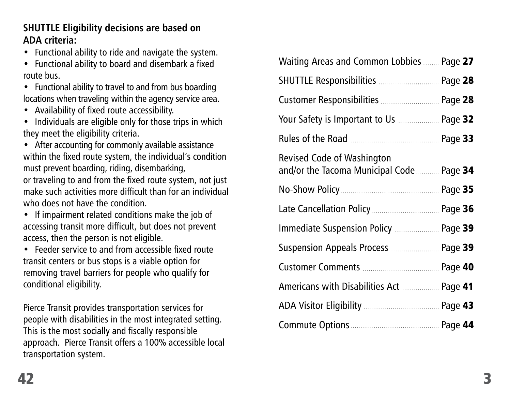#### **SHUTTLE Eligibility decisions are based on ADA criteria:**

• Functional ability to ride and navigate the system.

• Functional ability to board and disembark a fixed route bus.

• Functional ability to travel to and from bus boarding locations when traveling within the agency service area.

• Availability of fixed route accessibility.

• Individuals are eligible only for those trips in which they meet the eligibility criteria.

• After accounting for commonly available assistance within the fixed route system, the individual's condition must prevent boarding, riding, disembarking, or traveling to and from the fixed route system, not just make such activities more difficult than for an individual who does not have the condition.

• If impairment related conditions make the job of accessing transit more difficult, but does not prevent access, then the person is not eligible.

• Feeder service to and from accessible fixed route transit centers or bus stops is a viable option for removing travel barriers for people who qualify for conditional eligibility.

Pierce Transit provides transportation services for people with disabilities in the most integrated setting. This is the most socially and fiscally responsible approach. Pierce Transit offers a 100% accessible local transportation system.

| Waiting Areas and Common Lobbies Page 27                                       |
|--------------------------------------------------------------------------------|
| SHUTTLE Responsibilities  Page 28                                              |
| Customer Responsibilities  Page 28                                             |
| Your Safety is Important to Us  Page 32                                        |
|                                                                                |
| <b>Revised Code of Washington</b><br>and/or the Tacoma Municipal Code  Page 34 |
|                                                                                |
|                                                                                |
| Immediate Suspension Policy  Page 39                                           |
| Suspension Appeals Process  Page 39                                            |
|                                                                                |
| Americans with Disabilities Act  Page 41                                       |
|                                                                                |
|                                                                                |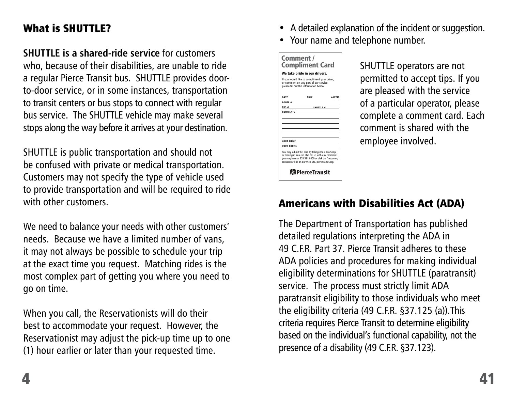#### What is SHUTTLE?

**SHUTTLE is a shared-ride service** for customers who, because of their disabilities, are unable to ride a regular Pierce Transit bus. SHUTTLE provides doorto-door service, or in some instances, transportation to transit centers or bus stops to connect with regular bus service. The SHUTTLE vehicle may make several stops along the way before it arrives at your destination.

SHUTTLE is public transportation and should not be confused with private or medical transportation. Customers may not specify the type of vehicle used to provide transportation and will be required to ride with other customers.

We need to balance your needs with other customers' needs. Because we have a limited number of vans, it may not always be possible to schedule your trip at the exact time you request. Matching rides is the most complex part of getting you where you need to go on time.

When you call, the Reservationists will do their best to accommodate your request. However, the Reservationist may adjust the pick-up time up to one (1) hour earlier or later than your requested time.

- A detailed explanation of the incident or suggestion.
- Your name and telephone number.



SHUTTLE operators are not permitted to accept tips. If you are pleased with the service of a particular operator, please complete a comment card. Each comment is shared with the employee involved.

# Americans with Disabilities Act (ADA)

The Department of Transportation has published detailed regulations interpreting the ADA in 49 C.F.R. Part 37. Pierce Transit adheres to these ADA policies and procedures for making individual eligibility determinations for SHUTTLE (paratransit) service. The process must strictly limit ADA paratransit eligibility to those individuals who meet the eligibility criteria (49 C.F.R. §37.125 (a)).This criteria requires Pierce Transit to determine eligibility based on the individual's functional capability, not the presence of a disability (49 C.F.R. §37.123).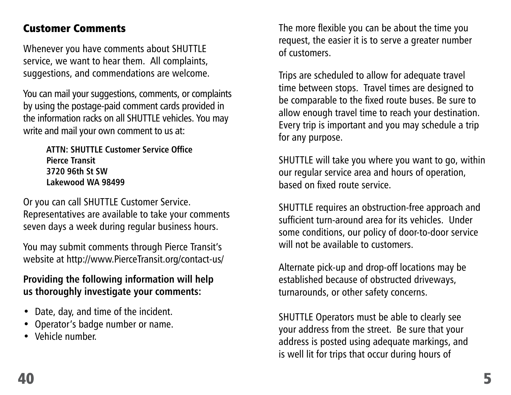#### Customer Comments

Whenever you have comments about SHUTTLE service, we want to hear them. All complaints, suggestions, and commendations are welcome.

You can mail your suggestions, comments, or complaints by using the postage-paid comment cards provided in the information racks on all SHUTTLE vehicles. You may write and mail your own comment to us at:

> **ATTN: SHUTTLE Customer Service Office Pierce Transit 3720 96th St SW Lakewood WA 98499**

Or you can call SHUTTLE Customer Service. Representatives are available to take your comments seven days a week during regular business hours.

You may submit comments through Pierce Transit's website at http://www.PierceTransit.org/contact-us/

#### **Providing the following information will help us thoroughly investigate your comments:**

- Date, day, and time of the incident.
- Operator's badge number or name.
- Vehicle number.

The more flexible you can be about the time you request, the easier it is to serve a greater number of customers.

Trips are scheduled to allow for adequate travel time between stops. Travel times are designed to be comparable to the fixed route buses. Be sure to allow enough travel time to reach your destination. Every trip is important and you may schedule a trip for any purpose.

SHUTTLE will take you where you want to go, within our regular service area and hours of operation, based on fixed route service.

SHUTTLE requires an obstruction-free approach and sufficient turn-around area for its vehicles. Under some conditions, our policy of door-to-door service will not be available to customers.

Alternate pick-up and drop-off locations may be established because of obstructed driveways, turnarounds, or other safety concerns.

SHUTTLE Operators must be able to clearly see your address from the street. Be sure that your address is posted using adequate markings, and is well lit for trips that occur during hours of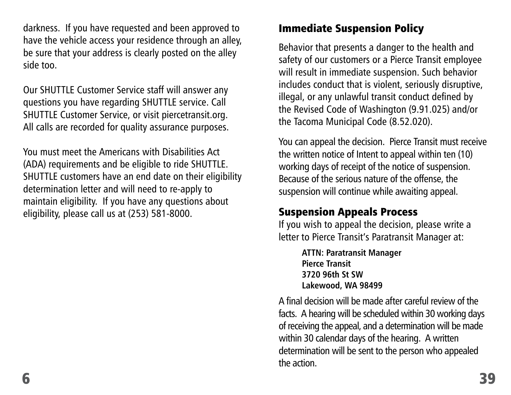darkness. If you have requested and been approved to have the vehicle access your residence through an alley, be sure that your address is clearly posted on the alley side too.

Our SHUTTLE Customer Service staff will answer any questions you have regarding SHUTTLE service. Call SHUTTLE Customer Service, or visit piercetransit.org. All calls are recorded for quality assurance purposes.

You must meet the Americans with Disabilities Act (ADA) requirements and be eligible to ride SHUTTLE. SHUTTLE customers have an end date on their eligibility determination letter and will need to re-apply to maintain eligibility. If you have any questions about eligibility, please call us at (253) 581-8000.

#### Immediate Suspension Policy

Behavior that presents a danger to the health and safety of our customers or a Pierce Transit employee will result in immediate suspension. Such behavior includes conduct that is violent, seriously disruptive, illegal, or any unlawful transit conduct defined by the Revised Code of Washington (9.91.025) and/or the Tacoma Municipal Code (8.52.020).

You can appeal the decision. Pierce Transit must receive the written notice of Intent to appeal within ten (10) working days of receipt of the notice of suspension. Because of the serious nature of the offense, the suspension will continue while awaiting appeal.

#### Suspension Appeals Process

If you wish to appeal the decision, please write a letter to Pierce Transit's Paratransit Manager at:

> **ATTN: Paratransit Manager Pierce Transit 3720 96th St SW Lakewood, WA 98499**

A final decision will be made after careful review of the facts. A hearing will be scheduled within 30 working days of receiving the appeal, and a determination will be made within 30 calendar days of the hearing. A written determination will be sent to the person who appealed the action.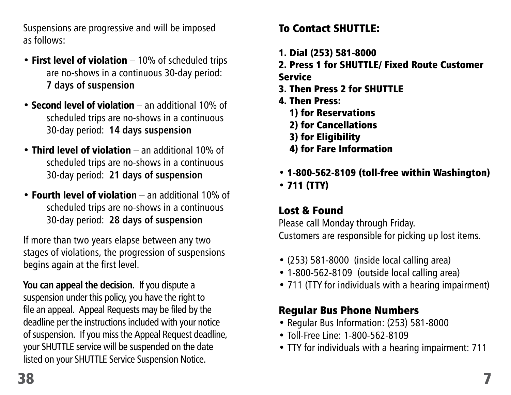Suspensions are progressive and will be imposed as follows:

- First level of violation 10% of scheduled trips are no-shows in a continuous 30-day period: **7 days of suspension**
- **Second level of violation** an additional 10% of scheduled trips are no-shows in a continuous 30-day period: **14 days suspension**
- Third level of violation an additional 10% of scheduled trips are no-shows in a continuous 30-day period: **21 days of suspension**
- Fourth level of violatio**n**  an additional 10% of scheduled trips are no-shows in a continuous 30-day period: **28 days of suspension**

If more than two years elapse between any two stages of violations, the progression of suspensions begins again at the first level.

**You can appeal the decision.** If you dispute a suspension under this policy, you have the right to file an appeal. Appeal Requests may be filed by the deadline per the instructions included with your notice of suspension. If you miss the Appeal Request deadline, your SHUTTLE service will be suspended on the date listed on your SHUTTLE Service Suspension Notice.

# To Contact SHUTTLE:

- 1. Dial (253) 581-8000
- 2. Press 1 for SHUTTLE/ Fixed Route Customer Service
	-
- 3. Then Press 2 for SHUTTLE
- 4. Then Press:
	- 1) for Reservations
	- 2) for Cancellations
	- 3) for Eligibility
	- 4) for Fare Information
- 1-800-562-8109 (toll-free within Washington) • 711 (TTY)

# Lost & Found

Please call Monday through Friday. Customers are responsible for picking up lost items.

- (253) 581-8000 (inside local calling area)
- 1-800-562-8109 (outside local calling area)
- 711 (TTY for individuals with a hearing impairment)

# Regular Bus Phone Numbers

- Regular Bus Information: (253) 581-8000
- Toll-Free Line: 1-800-562-8109
- TTY for individuals with a hearing impairment: 711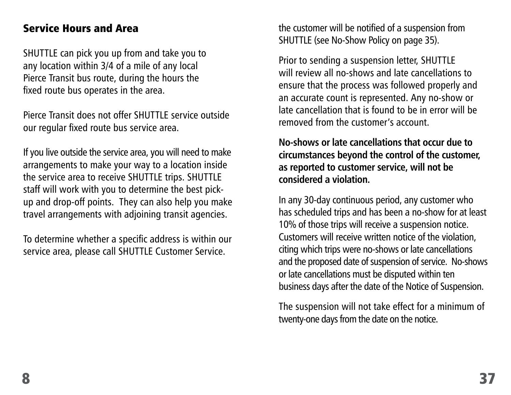#### Service Hours and Area

SHUTTLE can pick you up from and take you to any location within 3/4 of a mile of any local Pierce Transit bus route, during the hours the fixed route bus operates in the area.

Pierce Transit does not offer SHUTTLE service outside our regular fixed route bus service area.

If you live outside the service area, you will need to make arrangements to make your way to a location inside the service area to receive SHUTTLE trips. SHUTTLE staff will work with you to determine the best pickup and drop-off points. They can also help you make travel arrangements with adjoining transit agencies.

To determine whether a specific address is within our service area, please call SHUTTLE Customer Service.

the customer will be notified of a suspension from SHUTTLE (see No-Show Policy on page 35).

Prior to sending a suspension letter, SHUTTLE will review all no-shows and late cancellations to ensure that the process was followed properly and an accurate count is represented. Any no-show or late cancellation that is found to be in error will be removed from the customer's account.

**No-shows or late cancellations that occur due to circumstances beyond the control of the customer, as reported to customer service, will not be considered a violation.**

In any 30-day continuous period, any customer who has scheduled trips and has been a no-show for at least 10% of those trips will receive a suspension notice. Customers will receive written notice of the violation, citing which trips were no-shows or late cancellations and the proposed date of suspension of service. No-shows or late cancellations must be disputed within ten business days after the date of the Notice of Suspension.

The suspension will not take effect for a minimum of twenty-one days from the date on the notice.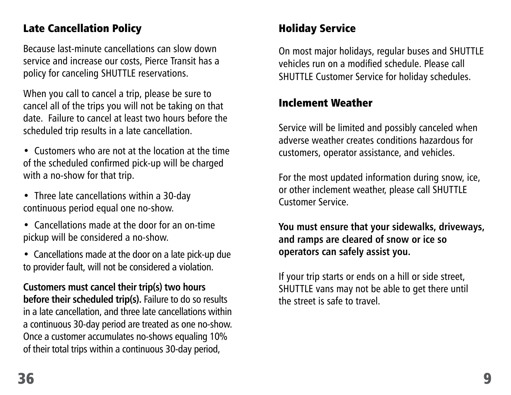#### Late Cancellation Policy

Because last-minute cancellations can slow down service and increase our costs, Pierce Transit has a policy for canceling SHUTTLE reservations.

When you call to cancel a trip, please be sure to cancel all of the trips you will not be taking on that date. Failure to cancel at least two hours before the scheduled trip results in a late cancellation.

- Customers who are not at the location at the time of the scheduled confirmed pick-up will be charged with a no-show for that trip.
- Three late cancellations within a 30-day continuous period equal one no-show.
- Cancellations made at the door for an on-time pickup will be considered a no-show.
- Cancellations made at the door on a late pick-up due to provider fault, will not be considered a violation.

**Customers must cancel their trip(s) two hours before their scheduled trip(s).** Failure to do so results in a late cancellation, and three late cancellations within a continuous 30-day period are treated as one no-show. Once a customer accumulates no-shows equaling 10% of their total trips within a continuous 30-day period,

#### Holiday Service

On most major holidays, regular buses and SHUTTLE vehicles run on a modified schedule. Please call SHUTTLE Customer Service for holiday schedules.

#### Inclement Weather

Service will be limited and possibly canceled when adverse weather creates conditions hazardous for customers, operator assistance, and vehicles.

For the most updated information during snow, ice, or other inclement weather, please call SHUTTLE Customer Service.

**You must ensure that your sidewalks, driveways, and ramps are cleared of snow or ice so operators can safely assist you.**

If your trip starts or ends on a hill or side street, SHUTTLE vans may not be able to get there until the street is safe to travel.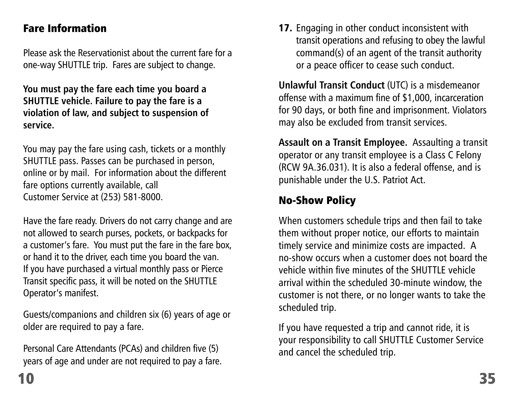#### Fare Information

Please ask the Reservationist about the current fare for a one-way SHUTTLE trip. Fares are subject to change.

**You must pay the fare each time you board a SHUTTLE vehicle. Failure to pay the fare is a violation of law, and subject to suspension of service.**

You may pay the fare using cash, tickets or a monthly SHUTTLE pass. Passes can be purchased in person, online or by mail. For information about the different fare options currently available, call Customer Service at (253) 581-8000.

Have the fare ready. Drivers do not carry change and are not allowed to search purses, pockets, or backpacks for a customer's fare. You must put the fare in the fare box, or hand it to the driver, each time you board the van. If you have purchased a virtual monthly pass or Pierce Transit specific pass, it will be noted on the SHUTTLE Operator's manifest.

Guests/companions and children six (6) years of age or older are required to pay a fare.

Personal Care Attendants (PCAs) and children five (5) years of age and under are not required to pay a fare. 17. Engaging in other conduct inconsistent with transit operations and refusing to obey the lawful command(s) of an agent of the transit authority or a peace officer to cease such conduct.

**Unlawful Transit Conduct** (UTC) is a misdemeanor offense with a maximum fine of \$1,000, incarceration for 90 days, or both fine and imprisonment. Violators may also be excluded from transit services.

**Assault on a Transit Employee.** Assaulting a transit operator or any transit employee is a Class C Felony (RCW 9A.36.031). It is also a federal offense, and is punishable under the U.S. Patriot Act.

## No-Show Policy

When customers schedule trips and then fail to take them without proper notice, our efforts to maintain timely service and minimize costs are impacted. A no-show occurs when a customer does not board the vehicle within five minutes of the SHUTTLE vehicle arrival within the scheduled 30-minute window, the customer is not there, or no longer wants to take the scheduled trip.

If you have requested a trip and cannot ride, it is your responsibility to call SHUTTLE Customer Service and cancel the scheduled trip.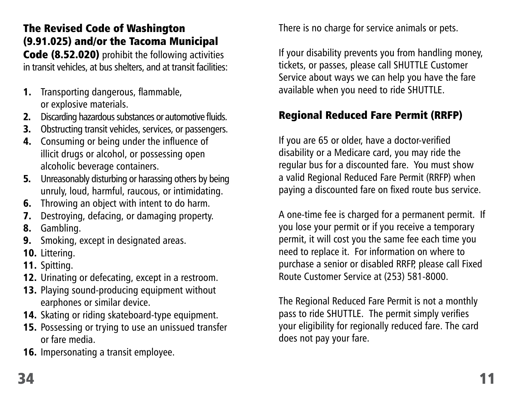#### The Revised Code of Washington (9.91.025) and/or the Tacoma Municipal

Code (8.52.020) prohibit the following activities in transit vehicles, at bus shelters, and at transit facilities:

- 1. Transporting dangerous, flammable, or explosive materials.
- 2. Discarding hazardous substances or automotive fluids.
- **3.** Obstructing transit vehicles, services, or passengers.
- 4. Consuming or being under the influence of illicit drugs or alcohol, or possessing open alcoholic beverage containers.
- **5.** Unreasonably disturbing or harassing others by being unruly, loud, harmful, raucous, or intimidating.
- 6. Throwing an object with intent to do harm.
- 7. Destroying, defacing, or damaging property.
- 8. Gambling.
- 9. Smoking, except in designated areas.
- 10. Littering.
- 11. Spitting.
- 12. Urinating or defecating, except in a restroom.
- 13. Playing sound-producing equipment without earphones or similar device.
- 14. Skating or riding skateboard-type equipment.
- 15. Possessing or trying to use an unissued transfer or fare media.
- 16. Impersonating a transit employee.

There is no charge for service animals or pets.

If your disability prevents you from handling money, tickets, or passes, please call SHUTTLE Customer Service about ways we can help you have the fare available when you need to ride SHUTTLE.

# Regional Reduced Fare Permit (RRFP)

If you are 65 or older, have a doctor-verified disability or a Medicare card, you may ride the regular bus for a discounted fare. You must show a valid Regional Reduced Fare Permit (RRFP) when paying a discounted fare on fixed route bus service.

A one-time fee is charged for a permanent permit. If you lose your permit or if you receive a temporary permit, it will cost you the same fee each time you need to replace it. For information on where to purchase a senior or disabled RRFP, please call Fixed Route Customer Service at (253) 581-8000.

The Regional Reduced Fare Permit is not a monthly pass to ride SHUTTLE. The permit simply verifies your eligibility for regionally reduced fare. The card does not pay your fare.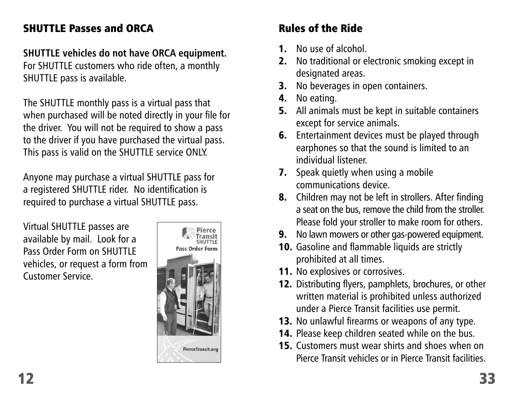#### SHUTTLE Passes and ORCA

#### **SHUTTLE vehicles do not have ORCA equipment.**

For SHUTTLE customers who ride often, a monthly SHUTTLE pass is available.

The SHUTTLE monthly pass is a virtual pass that when purchased will be noted directly in your file for the driver. You will not be required to show a pass to the driver if you have purchased the virtual pass. This pass is valid on the SHUTTLE service ONLY.

Anyone may purchase a virtual SHUTTLE pass for a registered SHUTTLE rider. No identification is required to purchase a virtual SHUTTLE pass.

Virtual SHUTTLE passes are available by mail. Look for a Pass Order Form on SHUTTLE vehicles, or request a form from Customer Service.



# Rules of the Ride

- 1. No use of alcohol.
- 2. No traditional or electronic smoking except in designated areas.
- **3.** No beverages in open containers.
- 4. No eating.
- **5.** All animals must be kept in suitable containers except for service animals.
- 6. Entertainment devices must be played through earphones so that the sound is limited to an individual listener.
- **7.** Speak quietly when using a mobile communications device.
- 8. Children may not be left in strollers. After finding a seat on the bus, remove the child from the stroller. Please fold your stroller to make room for others.
- 9. No lawn mowers or other gas-powered equipment.
- 10. Gasoline and flammable liquids are strictly prohibited at all times.
- 11. No explosives or corrosives.
- 12. Distributing flyers, pamphlets, brochures, or other written material is prohibited unless authorized under a Pierce Transit facilities use permit.
- 13. No unlawful firearms or weapons of any type.
- 14. Please keep children seated while on the bus.
- 15. Customers must wear shirts and shoes when on Pierce Transit vehicles or in Pierce Transit facilities.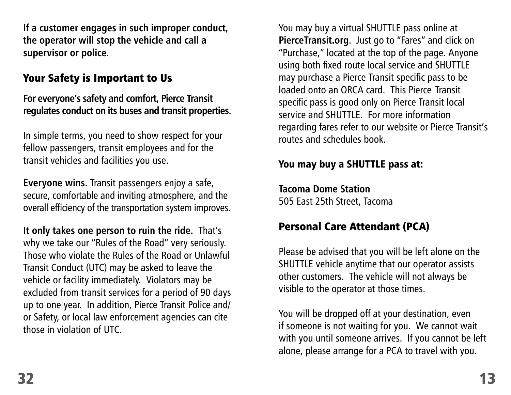**If a customer engages in such improper conduct, the operator will stop the vehicle and call a supervisor or police.** 

#### Your Safety is Important to Us

**For everyone's safety and comfort, Pierce Transit regulates conduct on its buses and transit properties.** 

In simple terms, you need to show respect for your fellow passengers, transit employees and for the transit vehicles and facilities you use.

**Everyone wins.** Transit passengers enjoy a safe, secure, comfortable and inviting atmosphere, and the overall efficiency of the transportation system improves.

**It only takes one person to ruin the ride.** That's why we take our "Rules of the Road" very seriously. Those who violate the Rules of the Road or Unlawful Transit Conduct (UTC) may be asked to leave the vehicle or facility immediately. Violators may be excluded from transit services for a period of 90 days up to one year. In addition, Pierce Transit Police and/ or Safety, or local law enforcement agencies can cite those in violation of UTC.

You may buy a virtual SHUTTLE pass online at **PierceTransit.org**. Just go to "Fares" and click on "Purchase," located at the top of the page. Anyone using both fixed route local service and SHUTTLE may purchase a Pierce Transit specific pass to be loaded onto an ORCA card. This Pierce Transit specific pass is good only on Pierce Transit local service and SHUTTLE. For more information regarding fares refer to our website or Pierce Transit's routes and schedules book.

#### You may buy a SHUTTLE pass at:

**Tacoma Dome Station** 505 East 25th Street, Tacoma

#### Personal Care Attendant (PCA)

Please be advised that you will be left alone on the SHUTTLE vehicle anytime that our operator assists other customers. The vehicle will not always be visible to the operator at those times.

You will be dropped off at your destination, even if someone is not waiting for you. We cannot wait with you until someone arrives. If you cannot be left alone, please arrange for a PCA to travel with you.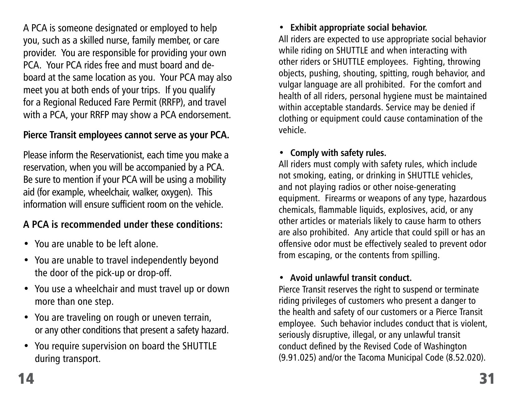A PCA is someone designated or employed to help you, such as a skilled nurse, family member, or care provider. You are responsible for providing your own PCA. Your PCA rides free and must board and deboard at the same location as you. Your PCA may also meet you at both ends of your trips. If you qualify for a Regional Reduced Fare Permit (RRFP), and travel with a PCA, your RRFP may show a PCA endorsement.

#### **Pierce Transit employees cannot serve as your PCA.**

Please inform the Reservationist, each time you make a reservation, when you will be accompanied by a PCA. Be sure to mention if your PCA will be using a mobility aid (for example, wheelchair, walker, oxygen). This information will ensure sufficient room on the vehicle.

#### **A PCA is recommended under these conditions:**

- You are unable to be left alone.
- You are unable to travel independently beyond the door of the pick-up or drop-off.
- You use a wheelchair and must travel up or down more than one step.
- You are traveling on rough or uneven terrain, or any other conditions that present a safety hazard.
- You require supervision on board the SHUTTLE during transport.

#### • **Exhibit appropriate social behavior.**

All riders are expected to use appropriate social behavior while riding on SHUTTLE and when interacting with other riders or SHUTTLE employees. Fighting, throwing objects, pushing, shouting, spitting, rough behavior, and vulgar language are all prohibited. For the comfort and health of all riders, personal hygiene must be maintained within acceptable standards. Service may be denied if clothing or equipment could cause contamination of the vehicle.

#### • **Comply with safety rules.**

All riders must comply with safety rules, which include not smoking, eating, or drinking in SHUTTLE vehicles, and not playing radios or other noise-generating equipment. Firearms or weapons of any type, hazardous chemicals, flammable liquids, explosives, acid, or any other articles or materials likely to cause harm to others are also prohibited. Any article that could spill or has an offensive odor must be effectively sealed to prevent odor from escaping, or the contents from spilling.

#### • **Avoid unlawful transit conduct.**

Pierce Transit reserves the right to suspend or terminate riding privileges of customers who present a danger to the health and safety of our customers or a Pierce Transit employee. Such behavior includes conduct that is violent, seriously disruptive, illegal, or any unlawful transit conduct defined by the Revised Code of Washington (9.91.025) and/or the Tacoma Municipal Code (8.52.020).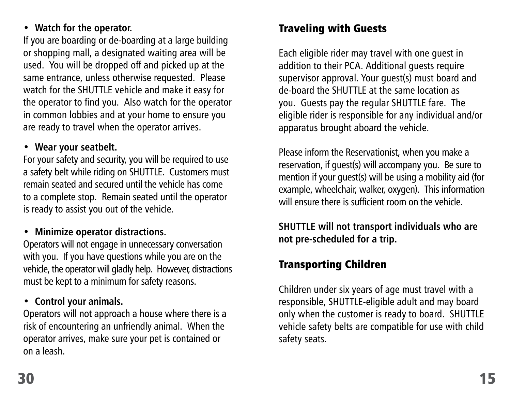#### • **Watch for the operator.**

If you are boarding or de-boarding at a large building or shopping mall, a designated waiting area will be used. You will be dropped off and picked up at the same entrance, unless otherwise requested. Please watch for the SHUTTLE vehicle and make it easy for the operator to find you. Also watch for the operator in common lobbies and at your home to ensure you are ready to travel when the operator arrives.

#### • **Wear your seatbelt.**

For your safety and security, you will be required to use a safety belt while riding on SHUTTLE. Customers must remain seated and secured until the vehicle has come to a complete stop. Remain seated until the operator is ready to assist you out of the vehicle.

#### • **Minimize operator distractions.**

Operators will not engage in unnecessary conversation with you. If you have questions while you are on the vehicle, the operator will gladly help. However, distractions must be kept to a minimum for safety reasons.

#### • **Control your animals.**

Operators will not approach a house where there is a risk of encountering an unfriendly animal. When the operator arrives, make sure your pet is contained or on a leash.

#### Traveling with Guests

Each eligible rider may travel with one guest in addition to their PCA. Additional guests require supervisor approval. Your guest(s) must board and de-board the SHUTTLE at the same location as you. Guests pay the regular SHUTTLE fare. The eligible rider is responsible for any individual and/or apparatus brought aboard the vehicle.

Please inform the Reservationist, when you make a reservation, if guest(s) will accompany you. Be sure to mention if your guest(s) will be using a mobility aid (for example, wheelchair, walker, oxygen). This information will ensure there is sufficient room on the vehicle.

**SHUTTLE will not transport individuals who are not pre-scheduled for a trip.**

#### Transporting Children

Children under six years of age must travel with a responsible, SHUTTLE-eligible adult and may board only when the customer is ready to board. SHUTTLE vehicle safety belts are compatible for use with child safety seats.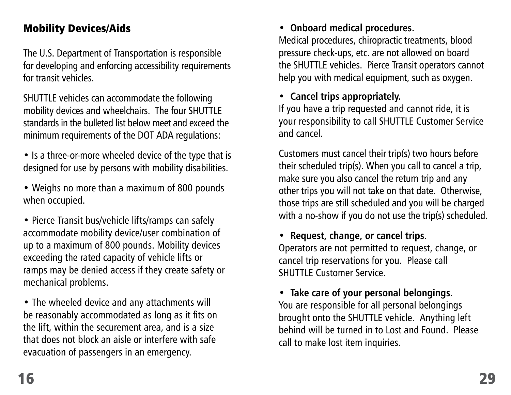#### Mobility Devices/Aids

The U.S. Department of Transportation is responsible for developing and enforcing accessibility requirements for transit vehicles.

SHUTTLE vehicles can accommodate the following mobility devices and wheelchairs. The four SHUTTLE standards in the bulleted list below meet and exceed the minimum requirements of the DOT ADA regulations:

- Is a three-or-more wheeled device of the type that is designed for use by persons with mobility disabilities.
- Weighs no more than a maximum of 800 pounds when occupied.
- Pierce Transit bus/vehicle lifts/ramps can safely accommodate mobility device/user combination of up to a maximum of 800 pounds. Mobility devices exceeding the rated capacity of vehicle lifts or ramps may be denied access if they create safety or mechanical problems.

• The wheeled device and any attachments will be reasonably accommodated as long as it fits on the lift, within the securement area, and is a size that does not block an aisle or interfere with safe evacuation of passengers in an emergency.

#### • **Onboard medical procedures.**

Medical procedures, chiropractic treatments, blood pressure check-ups, etc. are not allowed on board the SHUTTLE vehicles. Pierce Transit operators cannot help you with medical equipment, such as oxygen.

#### • **Cancel trips appropriately.**

If you have a trip requested and cannot ride, it is your responsibility to call SHUTTLE Customer Service and cancel.

Customers must cancel their trip(s) two hours before their scheduled trip(s). When you call to cancel a trip, make sure you also cancel the return trip and any other trips you will not take on that date. Otherwise, those trips are still scheduled and you will be charged with a no-show if you do not use the trip(s) scheduled.

#### • **Request, change, or cancel trips.**

Operators are not permitted to request, change, or cancel trip reservations for you. Please call SHUTTLE Customer Service

#### • **Take care of your personal belongings.**

You are responsible for all personal belongings brought onto the SHUTTLE vehicle. Anything left behind will be turned in to Lost and Found. Please call to make lost item inquiries.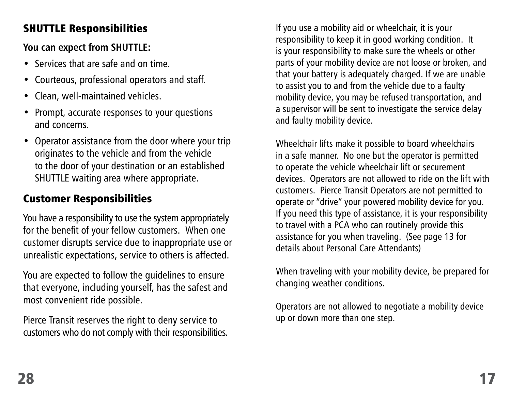#### SHUTTLE Responsibilities

**You can expect from SHUTTLE:**

- Services that are safe and on time.
- Courteous, professional operators and staff.
- Clean, well-maintained vehicles.
- Prompt, accurate responses to your questions and concerns.
- Operator assistance from the door where your trip originates to the vehicle and from the vehicle to the door of your destination or an established SHUTTLE waiting area where appropriate.

# Customer Responsibilities

You have a responsibility to use the system appropriately for the benefit of your fellow customers. When one customer disrupts service due to inappropriate use or unrealistic expectations, service to others is affected.

You are expected to follow the guidelines to ensure that everyone, including yourself, has the safest and most convenient ride possible.

Pierce Transit reserves the right to deny service to customers who do not comply with their responsibilities. If you use a mobility aid or wheelchair, it is your responsibility to keep it in good working condition. It is your responsibility to make sure the wheels or other parts of your mobility device are not loose or broken, and that your battery is adequately charged. If we are unable to assist you to and from the vehicle due to a faulty mobility device, you may be refused transportation, and a supervisor will be sent to investigate the service delay and faulty mobility device.

Wheelchair lifts make it possible to board wheelchairs in a safe manner. No one but the operator is permitted to operate the vehicle wheelchair lift or securement devices. Operators are not allowed to ride on the lift with customers. Pierce Transit Operators are not permitted to operate or "drive" your powered mobility device for you. If you need this type of assistance, it is your responsibility to travel with a PCA who can routinely provide this assistance for you when traveling. (See page 13 for details about Personal Care Attendants)

When traveling with your mobility device, be prepared for changing weather conditions.

Operators are not allowed to negotiate a mobility device up or down more than one step.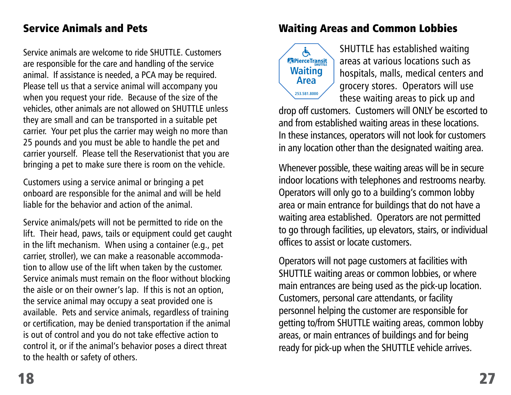#### Service Animals and Pets

Service animals are welcome to ride SHUTTLE. Customers are responsible for the care and handling of the service animal. If assistance is needed, a PCA may be required. Please tell us that a service animal will accompany you when you request your ride. Because of the size of the vehicles, other animals are not allowed on SHUTTLE unless they are small and can be transported in a suitable pet carrier. Your pet plus the carrier may weigh no more than 25 pounds and you must be able to handle the pet and carrier yourself. Please tell the Reservationist that you are bringing a pet to make sure there is room on the vehicle.

Customers using a service animal or bringing a pet onboard are responsible for the animal and will be held liable for the behavior and action of the animal.

Service animals/pets will not be permitted to ride on the lift. Their head, paws, tails or equipment could get caught in the lift mechanism. When using a container (e.g., pet carrier, stroller), we can make a reasonable accommodation to allow use of the lift when taken by the customer. Service animals must remain on the floor without blocking the aisle or on their owner's lap. If this is not an option, the service animal may occupy a seat provided one is available. Pets and service animals, regardless of training or certification, may be denied transportation if the animal is out of control and you do not take effective action to control it, or if the animal's behavior poses a direct threat to the health or safety of others.

#### Waiting Areas and Common Lobbies



SHUTTLE has established waiting areas at various locations such as hospitals, malls, medical centers and grocery stores. Operators will use these waiting areas to pick up and

drop off customers. Customers will ONLY be escorted to and from established waiting areas in these locations. In these instances, operators will not look for customers in any location other than the designated waiting area.

Whenever possible, these waiting areas will be in secure indoor locations with telephones and restrooms nearby. Operators will only go to a building's common lobby area or main entrance for buildings that do not have a waiting area established. Operators are not permitted to go through facilities, up elevators, stairs, or individual offices to assist or locate customers.

Operators will not page customers at facilities with SHUTTLE waiting areas or common lobbies, or where main entrances are being used as the pick-up location. Customers, personal care attendants, or facility personnel helping the customer are responsible for getting to/from SHUTTLE waiting areas, common lobby areas, or main entrances of buildings and for being ready for pick-up when the SHUTTLE vehicle arrives.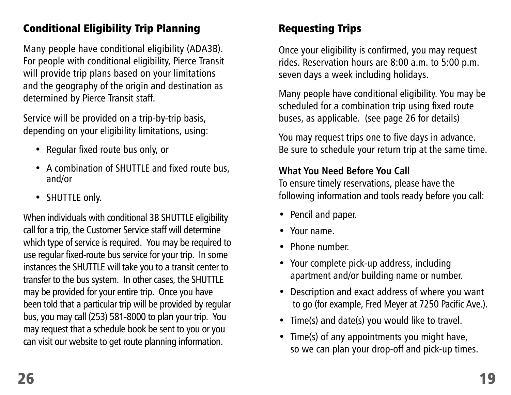#### Conditional Eligibility Trip Planning

Many people have conditional eligibility (ADA3B). For people with conditional eligibility, Pierce Transit will provide trip plans based on your limitations and the geography of the origin and destination as determined by Pierce Transit staff.

Service will be provided on a trip-by-trip basis, depending on your eligibility limitations, using:

- Regular fixed route bus only, or
- A combination of SHUTTLE and fixed route bus, and/or
- SHUTTLE only.

When individuals with conditional 3B SHUTTLE eligibility call for a trip, the Customer Service staff will determine which type of service is required. You may be required to use regular fixed-route bus service for your trip. In some instances the SHUTTLE will take you to a transit center to transfer to the bus system. In other cases, the SHUTTLE may be provided for your entire trip. Once you have been told that a particular trip will be provided by regular bus, you may call (253) 581-8000 to plan your trip. You may request that a schedule book be sent to you or you can visit our website to get route planning information.

#### Requesting Trips

Once your eligibility is confirmed, you may request rides. Reservation hours are 8:00 a.m. to 5:00 p.m. seven days a week including holidays.

Many people have conditional eligibility. You may be scheduled for a combination trip using fixed route buses, as applicable. (see page 26 for details)

You may request trips one to five days in advance. Be sure to schedule your return trip at the same time.

#### **What You Need Before You Call**

To ensure timely reservations, please have the following information and tools ready before you call:

- Pencil and paper.
- Your name.
- Phone number.
- Your complete pick-up address, including apartment and/or building name or number.
- Description and exact address of where you want to go (for example, Fred Meyer at 7250 Pacific Ave.).
- Time(s) and date(s) you would like to travel.
- Time(s) of any appointments you might have, so we can plan your drop-off and pick-up times.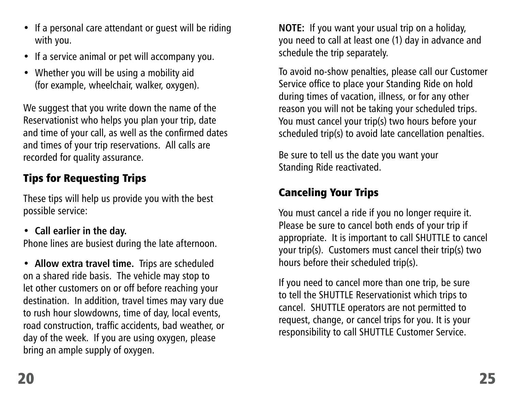- If a personal care attendant or quest will be riding with you.
- If a service animal or pet will accompany you.
- Whether you will be using a mobility aid (for example, wheelchair, walker, oxygen).

We suggest that you write down the name of the Reservationist who helps you plan your trip, date and time of your call, as well as the confirmed dates and times of your trip reservations. All calls are recorded for quality assurance.

# Tips for Requesting Trips

These tips will help us provide you with the best possible service:

• **Call earlier in the day.**

Phone lines are busiest during the late afternoon.

• **Allow extra travel time.** Trips are scheduled on a shared ride basis. The vehicle may stop to let other customers on or off before reaching your destination. In addition, travel times may vary due to rush hour slowdowns, time of day, local events, road construction, traffic accidents, bad weather, or day of the week. If you are using oxygen, please bring an ample supply of oxygen.

**NOTE:** If you want your usual trip on a holiday, you need to call at least one (1) day in advance and schedule the trip separately.

To avoid no-show penalties, please call our Customer Service office to place your Standing Ride on hold during times of vacation, illness, or for any other reason you will not be taking your scheduled trips. You must cancel your trip(s) two hours before your scheduled trip(s) to avoid late cancellation penalties.

Be sure to tell us the date you want your Standing Ride reactivated.

# Canceling Your Trips

You must cancel a ride if you no longer require it. Please be sure to cancel both ends of your trip if appropriate. It is important to call SHUTTLE to cancel your trip(s). Customers must cancel their trip(s) two hours before their scheduled trip(s).

If you need to cancel more than one trip, be sure to tell the SHUTTLE Reservationist which trips to cancel. SHUTTLE operators are not permitted to request, change, or cancel trips for you. It is your responsibility to call SHUTTLE Customer Service.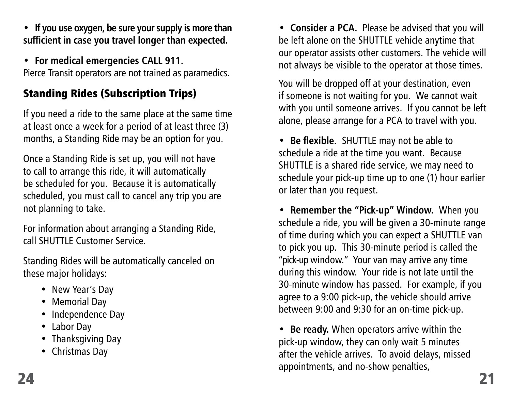• **If you use oxygen, be sure your supply is more than sufficient in case you travel longer than expected.**

• **For medical emergencies CALL 911.** Pierce Transit operators are not trained as paramedics.

# Standing Rides (Subscription Trips)

If you need a ride to the same place at the same time at least once a week for a period of at least three (3) months, a Standing Ride may be an option for you.

Once a Standing Ride is set up, you will not have to call to arrange this ride, it will automatically be scheduled for you. Because it is automatically scheduled, you must call to cancel any trip you are not planning to take.

For information about arranging a Standing Ride, call SHUTTLE Customer Service.

Standing Rides will be automatically canceled on these major holidays:

- New Year's Day
- Memorial Day
- Independence Day
- Labor Day
- Thanksgiving Day
- Christmas Day

• **Consider a PCA.** Please be advised that you will be left alone on the SHUTTLE vehicle anytime that our operator assists other customers. The vehicle will not always be visible to the operator at those times.

You will be dropped off at your destination, even if someone is not waiting for you. We cannot wait with you until someone arrives. If you cannot be left alone, please arrange for a PCA to travel with you.

• **Be flexible.** SHUTTLE may not be able to schedule a ride at the time you want. Because SHUTTLE is a shared ride service, we may need to schedule your pick-up time up to one (1) hour earlier or later than you request.

• **Remember the "Pick-up" Window.** When you schedule a ride, you will be given a 30-minute range of time during which you can expect a SHUTTLE van to pick you up. This 30-minute period is called the "pick-up window." Your van may arrive any time during this window. Your ride is not late until the 30-minute window has passed. For example, if you agree to a 9:00 pick-up, the vehicle should arrive between 9:00 and 9:30 for an on-time pick-up.

• **Be ready.** When operators arrive within the pick-up window, they can only wait 5 minutes after the vehicle arrives. To avoid delays, missed appointments, and no-show penalties,  $24$  and  $21$